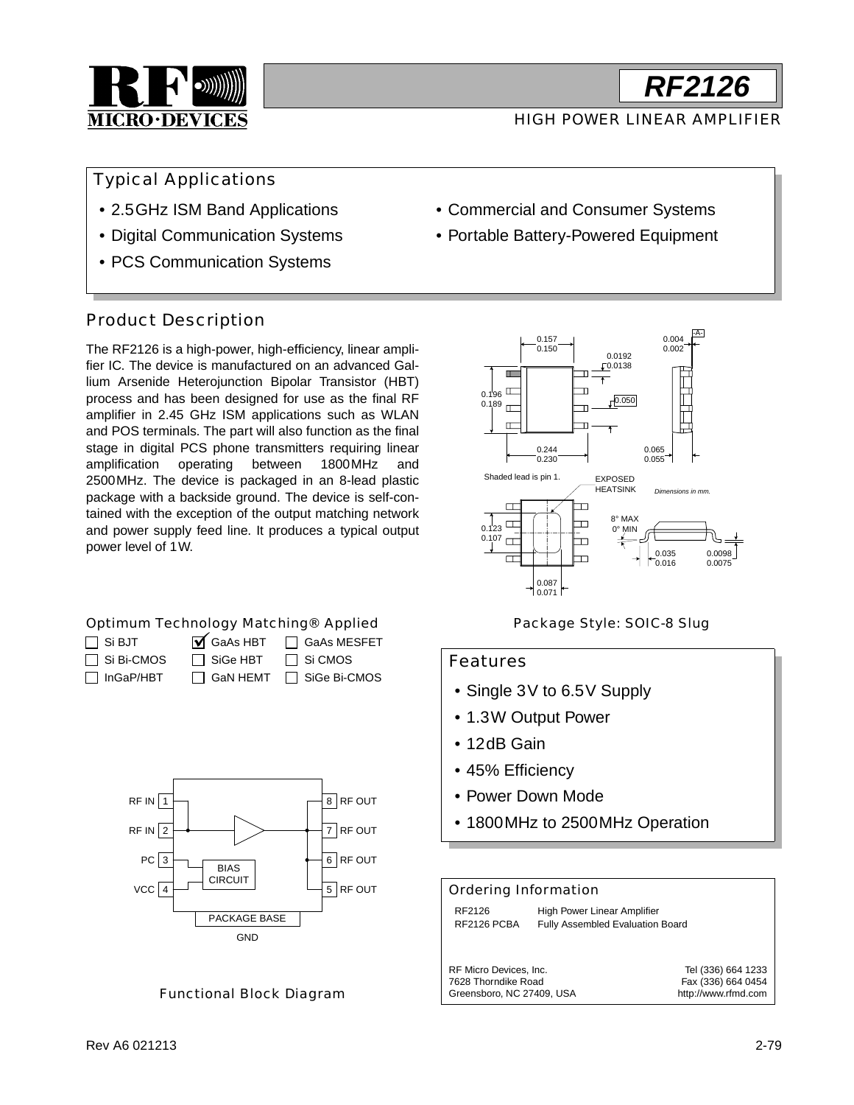

### HIGH POWER LINEAR AMPLIFIER

### Typical Applications

- 2.5GHz ISM Band Applications
- Digital Communication Systems
- PCS Communication Systems

### Product Description

The RF2126 is a high-power, high-efficiency, linear amplifier IC. The device is manufactured on an advanced Gallium Arsenide Heterojunction Bipolar Transistor (HBT) process and has been designed for use as the final RF amplifier in 2.45 GHz ISM applications such as WLAN and POS terminals. The part will also function as the final stage in digital PCS phone transmitters requiring linear amplification operating between 1800MHz and 2500MHz. The device is packaged in an 8-lead plastic package with a backside ground. The device is self-contained with the exception of the output matching network and power supply feed line. It produces a typical output power level of 1W.

#### Optimum Technology Matching® Applied

| $\Box$ Si BJT     | $\overline{\mathsf{M}}$ GaAs HBT | □ GaAs MESFET  |
|-------------------|----------------------------------|----------------|
| $\Box$ Si Bi-CMOS | $\Box$ SiGe HBT                  | $\Box$ Si CMOS |
| $\Box$ InGaP/HBT  | $\Box$ GaN HEMT                  | □ SiGe Bi-CMOS |



#### Functional Block Diagram

- Commercial and Consumer Systems
- Portable Battery-Powered Equipment



#### Package Style: SOIC-8 Slug

#### Features

- Single 3V to 6.5V Supply
- 1.3W Output Power
- 12dB Gain
- 45% Efficiency
- Power Down Mode
- 1800MHz to 2500MHz Operation

#### Ordering Information

RF2126 High Power Linear Amplifier RF2126 PCBA Fully Assembled Evaluation Board

RF Micro Devices, Inc. 7628 Thorndike Road Greensboro, NC 27409, USA Tel (336) 664 1233 Fax (336) 664 0454 http://www.rfmd.com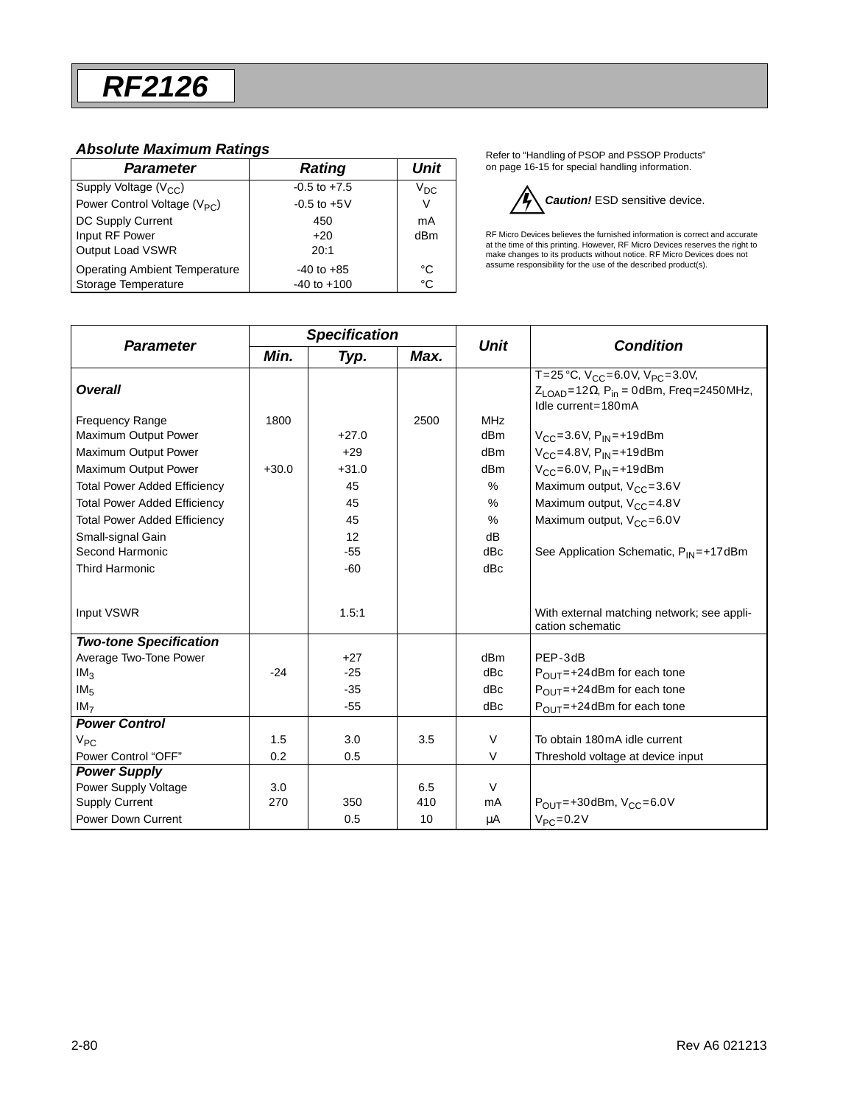#### *Absolute Maximum Ratings*

| <b>Parameter</b>                         | Rating           | <b>Unit</b> |
|------------------------------------------|------------------|-------------|
| Supply Voltage $(V_{CC})$                | $-0.5$ to $+7.5$ | $V_{DC}$    |
| Power Control Voltage (V <sub>PC</sub> ) | $-0.5$ to $+5V$  | V           |
| DC Supply Current                        | 450              | mA          |
| Input RF Power                           | $+20$            | dBm         |
| Output Load VSWR                         | 20:1             |             |
| <b>Operating Ambient Temperature</b>     | $-40$ to $+85$   | °C          |
| Storage Temperature                      | $-40$ to $+100$  | °C          |

Refer to "Handling of PSOP and PSSOP Products" on page 16-15 for special handling information.



RF Micro Devices believes the furnished information is correct and accurate<br>at the time of this printing. However, RF Micro Devices reserves the right to<br>make changes to its products without notice. RF Micro Devices does n assume responsibility for the use of the described product(s).

| <b>Parameter</b>                    | <b>Specification</b> |         | <b>Unit</b> | <b>Condition</b> |                                                                                                                                            |  |
|-------------------------------------|----------------------|---------|-------------|------------------|--------------------------------------------------------------------------------------------------------------------------------------------|--|
|                                     | Min.                 | Typ.    | Max.        |                  |                                                                                                                                            |  |
| <b>Overall</b>                      |                      |         |             |                  | T=25 °C, $V_{CC}$ =6.0V, $V_{PC}$ =3.0V,<br>$Z_{\text{LOAD}} = 12 \Omega$ , P <sub>in</sub> = 0dBm, Freq = 2450 MHz,<br>Idle current=180mA |  |
| <b>Frequency Range</b>              | 1800                 |         | 2500        | <b>MHz</b>       |                                                                                                                                            |  |
| Maximum Output Power                |                      | $+27.0$ |             | d <sub>Bm</sub>  | $V_{CC} = 3.6 V, P_{IN} = +19$ dBm                                                                                                         |  |
| Maximum Output Power                |                      | $+29$   |             | dBm              | $V_{CC} = 4.8 V, P_{IN} = +19dBm$                                                                                                          |  |
| Maximum Output Power                | $+30.0$              | $+31.0$ |             | dBm              | $V_{CC} = 6.0 V, P_{IN} = +19dBm$                                                                                                          |  |
| <b>Total Power Added Efficiency</b> |                      | 45      |             | $\%$             | Maximum output, $V_{CC} = 3.6V$                                                                                                            |  |
| <b>Total Power Added Efficiency</b> |                      | 45      |             | $\%$             | Maximum output, V <sub>CC</sub> =4.8V                                                                                                      |  |
| <b>Total Power Added Efficiency</b> |                      | 45      |             | $\frac{0}{0}$    | Maximum output, V <sub>CC</sub> =6.0V                                                                                                      |  |
| Small-signal Gain                   |                      | 12      |             | dB               |                                                                                                                                            |  |
| Second Harmonic                     |                      | $-55$   |             | dBc              | See Application Schematic, $P_{IN} = +17$ dBm                                                                                              |  |
| <b>Third Harmonic</b>               |                      | $-60$   |             | dBc              |                                                                                                                                            |  |
| Input VSWR                          |                      | 1.5:1   |             |                  | With external matching network; see appli-<br>cation schematic                                                                             |  |
| <b>Two-tone Specification</b>       |                      |         |             |                  |                                                                                                                                            |  |
| Average Two-Tone Power              |                      | $+27$   |             | dB <sub>m</sub>  | PEP-3dB                                                                                                                                    |  |
| IM <sub>3</sub>                     | $-24$                | $-25$   |             | dBc              | $P_{\text{OUT}} = +24$ dBm for each tone                                                                                                   |  |
| IM <sub>5</sub>                     |                      | $-35$   |             | dBc              | $P_{OIII} = +24$ dBm for each tone                                                                                                         |  |
| IM <sub>7</sub>                     |                      | $-55$   |             | dBc              | $P_{\text{OUT}} = +24$ dBm for each tone                                                                                                   |  |
| <b>Power Control</b>                |                      |         |             |                  |                                                                                                                                            |  |
| $V_{PC}$                            | 1.5                  | 3.0     | 3.5         | V                | To obtain 180mA idle current                                                                                                               |  |
| Power Control "OFF"                 | 0.2                  | 0.5     |             | V                | Threshold voltage at device input                                                                                                          |  |
| <b>Power Supply</b>                 |                      |         |             |                  |                                                                                                                                            |  |
| Power Supply Voltage                | 3.0                  |         | 6.5         | $\vee$           |                                                                                                                                            |  |
| <b>Supply Current</b>               | 270                  | 350     | 410         | mA               | $P_{\text{OUT}} = +30$ dBm, $V_{\text{CC}} = 6.0$ V                                                                                        |  |
| Power Down Current                  |                      | 0.5     | 10          | μA               | $V_{PC} = 0.2 V$                                                                                                                           |  |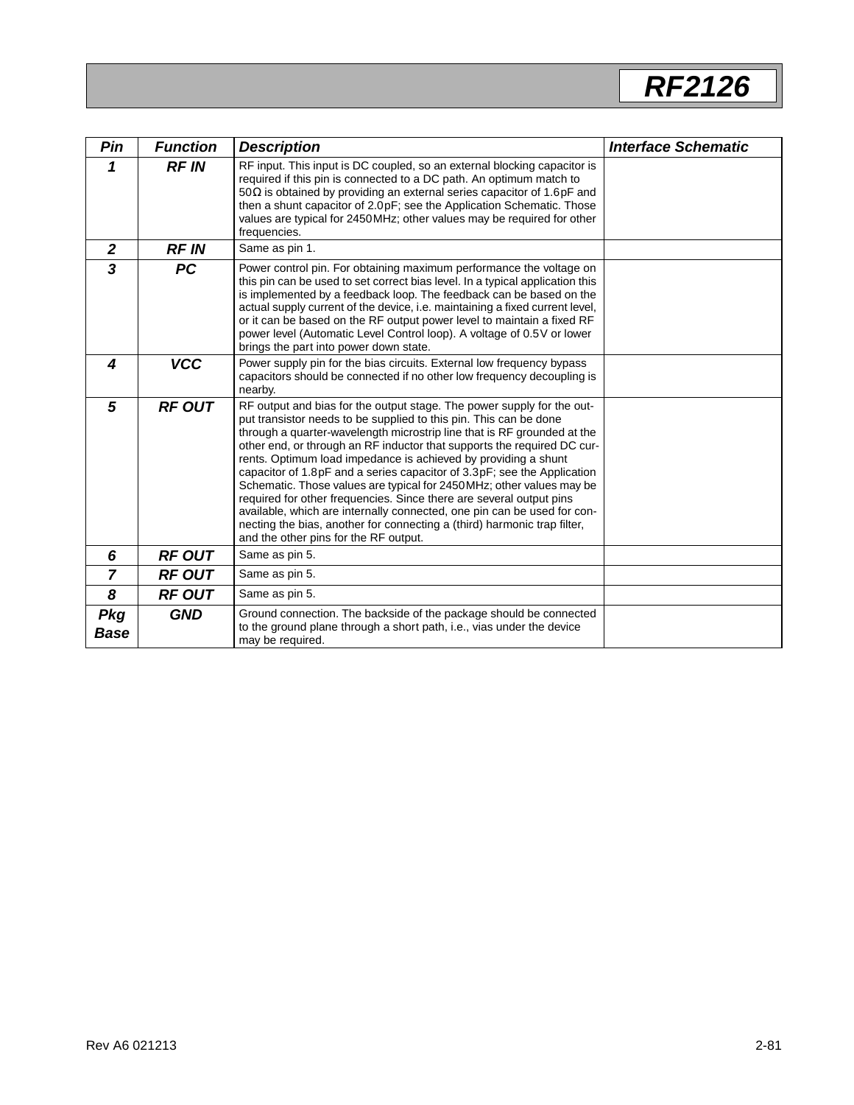| Pin                       | <b>Function</b> | <b>Description</b>                                                                                                                                                                                                                                                                                                                                                                                                                                                                                                                                                                                                                                                                                                                                                                            | <b>Interface Schematic</b> |
|---------------------------|-----------------|-----------------------------------------------------------------------------------------------------------------------------------------------------------------------------------------------------------------------------------------------------------------------------------------------------------------------------------------------------------------------------------------------------------------------------------------------------------------------------------------------------------------------------------------------------------------------------------------------------------------------------------------------------------------------------------------------------------------------------------------------------------------------------------------------|----------------------------|
| 1                         | <b>RFIN</b>     | RF input. This input is DC coupled, so an external blocking capacitor is<br>required if this pin is connected to a DC path. An optimum match to<br>50 $\Omega$ is obtained by providing an external series capacitor of 1.6pF and<br>then a shunt capacitor of 2.0pF; see the Application Schematic. Those<br>values are typical for 2450 MHz; other values may be required for other<br>frequencies.                                                                                                                                                                                                                                                                                                                                                                                         |                            |
| $\mathbf{2}$              | <b>RFIN</b>     | Same as pin 1.                                                                                                                                                                                                                                                                                                                                                                                                                                                                                                                                                                                                                                                                                                                                                                                |                            |
| $\overline{\mathbf{3}}$   | <b>PC</b>       | Power control pin. For obtaining maximum performance the voltage on<br>this pin can be used to set correct bias level. In a typical application this<br>is implemented by a feedback loop. The feedback can be based on the<br>actual supply current of the device, i.e. maintaining a fixed current level,<br>or it can be based on the RF output power level to maintain a fixed RF<br>power level (Automatic Level Control loop). A voltage of 0.5V or lower<br>brings the part into power down state.                                                                                                                                                                                                                                                                                     |                            |
| 4                         | <b>VCC</b>      | Power supply pin for the bias circuits. External low frequency bypass<br>capacitors should be connected if no other low frequency decoupling is<br>nearby.                                                                                                                                                                                                                                                                                                                                                                                                                                                                                                                                                                                                                                    |                            |
| 5                         | <b>RF OUT</b>   | RF output and bias for the output stage. The power supply for the out-<br>put transistor needs to be supplied to this pin. This can be done<br>through a quarter-wavelength microstrip line that is RF grounded at the<br>other end, or through an RF inductor that supports the required DC cur-<br>rents. Optimum load impedance is achieved by providing a shunt<br>capacitor of 1.8pF and a series capacitor of 3.3pF; see the Application<br>Schematic. Those values are typical for 2450MHz; other values may be<br>required for other frequencies. Since there are several output pins<br>available, which are internally connected, one pin can be used for con-<br>necting the bias, another for connecting a (third) harmonic trap filter,<br>and the other pins for the RF output. |                            |
| 6                         | <b>RF OUT</b>   | Same as pin 5.                                                                                                                                                                                                                                                                                                                                                                                                                                                                                                                                                                                                                                                                                                                                                                                |                            |
| $\overline{7}$            | <b>RF OUT</b>   | Same as pin 5.                                                                                                                                                                                                                                                                                                                                                                                                                                                                                                                                                                                                                                                                                                                                                                                |                            |
| 8                         | <b>RF OUT</b>   | Same as pin 5.                                                                                                                                                                                                                                                                                                                                                                                                                                                                                                                                                                                                                                                                                                                                                                                |                            |
| <b>Pkg</b><br><b>Base</b> | <b>GND</b>      | Ground connection. The backside of the package should be connected<br>to the ground plane through a short path, i.e., vias under the device<br>may be required.                                                                                                                                                                                                                                                                                                                                                                                                                                                                                                                                                                                                                               |                            |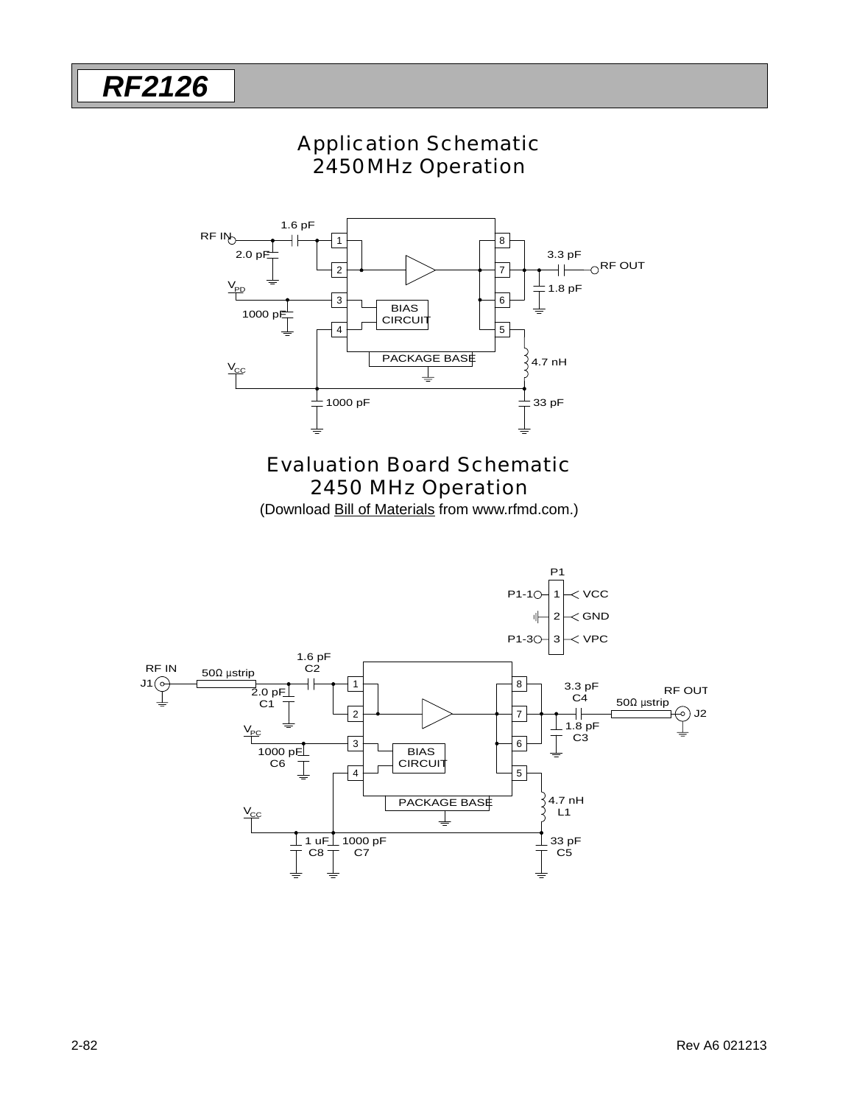## Application Schematic 2450MHz Operation



### Evaluation Board Schematic 2450 MHz Operation

(Download Bill of Materials from www.rfmd.com.)